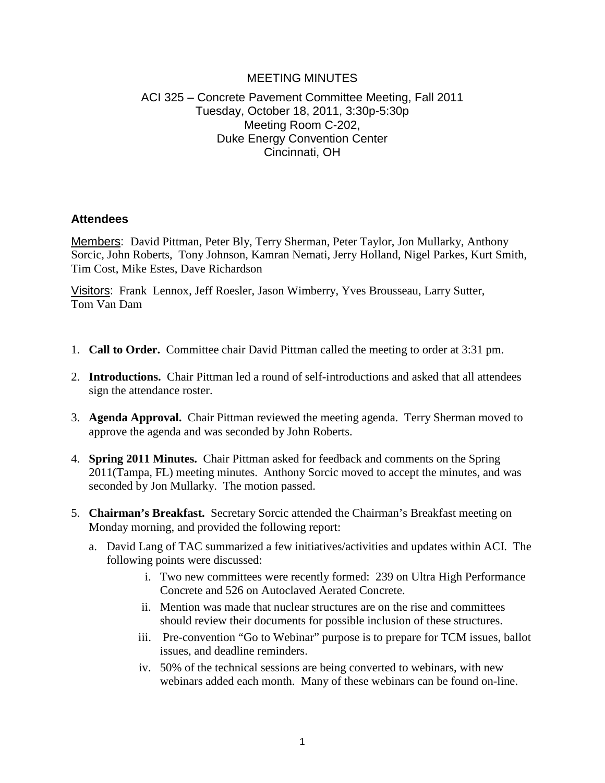#### MEETING MINUTES

# ACI 325 – Concrete Pavement Committee Meeting, Fall 2011 Tuesday, October 18, 2011, 3:30p-5:30p Meeting Room C-202, Duke Energy Convention Center Cincinnati, OH

#### **Attendees**

Members:David Pittman, Peter Bly, Terry Sherman, Peter Taylor, Jon Mullarky, Anthony Sorcic, John Roberts, Tony Johnson, Kamran Nemati, Jerry Holland, Nigel Parkes, Kurt Smith, Tim Cost, Mike Estes, Dave Richardson

Visitors: Frank Lennox, Jeff Roesler, Jason Wimberry, Yves Brousseau, Larry Sutter, Tom Van Dam

- 1. **Call to Order.** Committee chair David Pittman called the meeting to order at 3:31 pm.
- 2. **Introductions.** Chair Pittman led a round of self-introductions and asked that all attendees sign the attendance roster.
- 3. **Agenda Approval.** Chair Pittman reviewed the meeting agenda. Terry Sherman moved to approve the agenda and was seconded by John Roberts.
- 4. **Spring 2011 Minutes.** Chair Pittman asked for feedback and comments on the Spring 2011(Tampa, FL) meeting minutes. Anthony Sorcic moved to accept the minutes, and was seconded by Jon Mullarky. The motion passed.
- 5. **Chairman's Breakfast.** Secretary Sorcic attended the Chairman's Breakfast meeting on Monday morning, and provided the following report:
	- a. David Lang of TAC summarized a few initiatives/activities and updates within ACI. The following points were discussed:
		- i. Two new committees were recently formed: 239 on Ultra High Performance Concrete and 526 on Autoclaved Aerated Concrete.
		- ii. Mention was made that nuclear structures are on the rise and committees should review their documents for possible inclusion of these structures.
		- iii. Pre-convention "Go to Webinar" purpose is to prepare for TCM issues, ballot issues, and deadline reminders.
		- iv. 50% of the technical sessions are being converted to webinars, with new webinars added each month. Many of these webinars can be found on-line.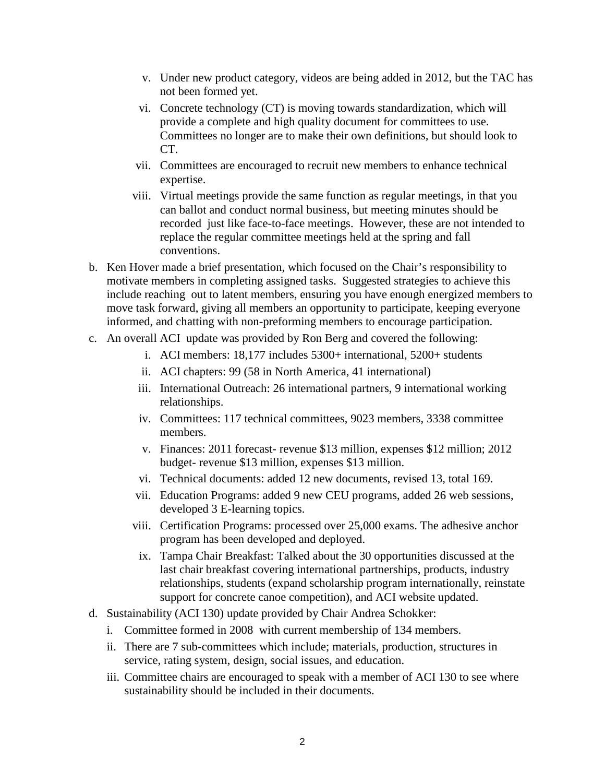- v. Under new product category, videos are being added in 2012, but the TAC has not been formed yet.
- vi. Concrete technology (CT) is moving towards standardization, which will provide a complete and high quality document for committees to use. Committees no longer are to make their own definitions, but should look to CT.
- vii. Committees are encouraged to recruit new members to enhance technical expertise.
- viii. Virtual meetings provide the same function as regular meetings, in that you can ballot and conduct normal business, but meeting minutes should be recorded just like face-to-face meetings. However, these are not intended to replace the regular committee meetings held at the spring and fall conventions.
- b. Ken Hover made a brief presentation, which focused on the Chair's responsibility to motivate members in completing assigned tasks. Suggested strategies to achieve this include reaching out to latent members, ensuring you have enough energized members to move task forward, giving all members an opportunity to participate, keeping everyone informed, and chatting with non-preforming members to encourage participation.
- c. An overall ACI update was provided by Ron Berg and covered the following:
	- i. ACI members: 18,177 includes 5300+ international, 5200+ students
	- ii. ACI chapters: 99 (58 in North America, 41 international)
	- iii. International Outreach: 26 international partners, 9 international working relationships.
	- iv. Committees: 117 technical committees, 9023 members, 3338 committee members.
	- v. Finances: 2011 forecast- revenue \$13 million, expenses \$12 million; 2012 budget- revenue \$13 million, expenses \$13 million.
	- vi. Technical documents: added 12 new documents, revised 13, total 169.
	- vii. Education Programs: added 9 new CEU programs, added 26 web sessions, developed 3 E-learning topics.
	- viii. Certification Programs: processed over 25,000 exams. The adhesive anchor program has been developed and deployed.
	- ix. Tampa Chair Breakfast: Talked about the 30 opportunities discussed at the last chair breakfast covering international partnerships, products, industry relationships, students (expand scholarship program internationally, reinstate support for concrete canoe competition), and ACI website updated.
- d. Sustainability (ACI 130) update provided by Chair Andrea Schokker:
	- i. Committee formed in 2008 with current membership of 134 members.
	- ii. There are 7 sub-committees which include; materials, production, structures in service, rating system, design, social issues, and education.
	- iii. Committee chairs are encouraged to speak with a member of ACI 130 to see where sustainability should be included in their documents.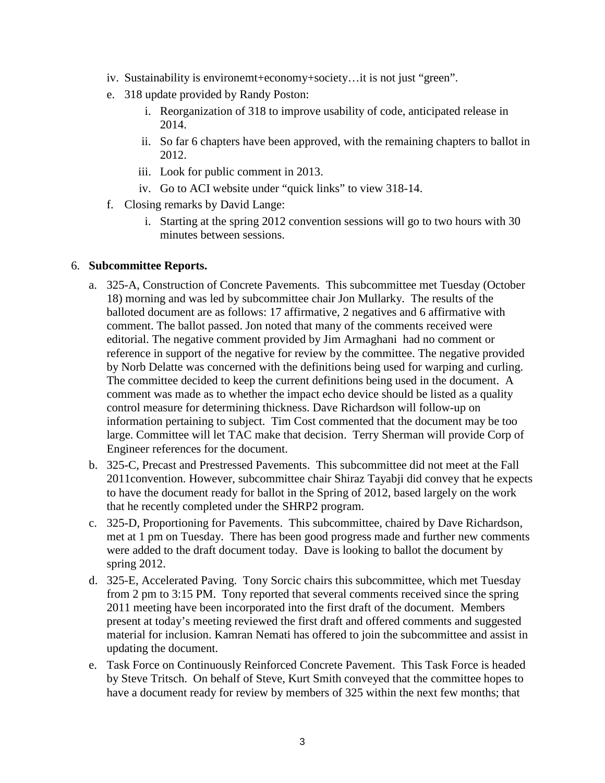- iv. Sustainability is environemt+economy+society…it is not just "green".
- e. 318 update provided by Randy Poston:
	- i. Reorganization of 318 to improve usability of code, anticipated release in 2014.
	- ii. So far 6 chapters have been approved, with the remaining chapters to ballot in 2012.
	- iii. Look for public comment in 2013.
	- iv. Go to ACI website under "quick links" to view 318-14.
- f. Closing remarks by David Lange:
	- i. Starting at the spring 2012 convention sessions will go to two hours with 30 minutes between sessions.

#### 6. **Subcommittee Reports.**

- a. 325-A, Construction of Concrete Pavements. This subcommittee met Tuesday (October 18) morning and was led by subcommittee chair Jon Mullarky. The results of the balloted document are as follows: 17 affirmative, 2 negatives and 6 affirmative with comment. The ballot passed. Jon noted that many of the comments received were editorial. The negative comment provided by Jim Armaghani had no comment or reference in support of the negative for review by the committee. The negative provided by Norb Delatte was concerned with the definitions being used for warping and curling. The committee decided to keep the current definitions being used in the document. A comment was made as to whether the impact echo device should be listed as a quality control measure for determining thickness. Dave Richardson will follow-up on information pertaining to subject. Tim Cost commented that the document may be too large. Committee will let TAC make that decision. Terry Sherman will provide Corp of Engineer references for the document.
- b. 325-C, Precast and Prestressed Pavements. This subcommittee did not meet at the Fall 2011convention. However, subcommittee chair Shiraz Tayabji did convey that he expects to have the document ready for ballot in the Spring of 2012, based largely on the work that he recently completed under the SHRP2 program.
- c. 325-D, Proportioning for Pavements. This subcommittee, chaired by Dave Richardson, met at 1 pm on Tuesday. There has been good progress made and further new comments were added to the draft document today. Dave is looking to ballot the document by spring 2012.
- d. 325-E, Accelerated Paving. Tony Sorcic chairs this subcommittee, which met Tuesday from 2 pm to 3:15 PM. Tony reported that several comments received since the spring 2011 meeting have been incorporated into the first draft of the document. Members present at today's meeting reviewed the first draft and offered comments and suggested material for inclusion. Kamran Nemati has offered to join the subcommittee and assist in updating the document.
- e. Task Force on Continuously Reinforced Concrete Pavement. This Task Force is headed by Steve Tritsch. On behalf of Steve, Kurt Smith conveyed that the committee hopes to have a document ready for review by members of 325 within the next few months; that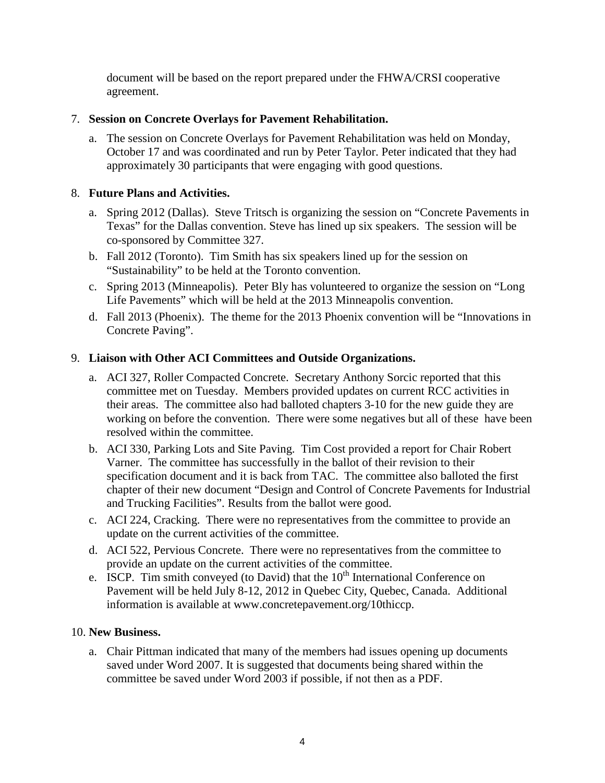document will be based on the report prepared under the FHWA/CRSI cooperative agreement.

## 7. **Session on Concrete Overlays for Pavement Rehabilitation.**

a. The session on Concrete Overlays for Pavement Rehabilitation was held on Monday, October 17 and was coordinated and run by Peter Taylor. Peter indicated that they had approximately 30 participants that were engaging with good questions.

## 8. **Future Plans and Activities.**

- a. Spring 2012 (Dallas). Steve Tritsch is organizing the session on "Concrete Pavements in Texas" for the Dallas convention. Steve has lined up six speakers. The session will be co-sponsored by Committee 327.
- b. Fall 2012 (Toronto). Tim Smith has six speakers lined up for the session on "Sustainability" to be held at the Toronto convention.
- c. Spring 2013 (Minneapolis). Peter Bly has volunteered to organize the session on "Long Life Pavements" which will be held at the 2013 Minneapolis convention.
- d. Fall 2013 (Phoenix). The theme for the 2013 Phoenix convention will be "Innovations in Concrete Paving".

## 9. **Liaison with Other ACI Committees and Outside Organizations.**

- a. ACI 327, Roller Compacted Concrete. Secretary Anthony Sorcic reported that this committee met on Tuesday. Members provided updates on current RCC activities in their areas. The committee also had balloted chapters 3-10 for the new guide they are working on before the convention. There were some negatives but all of these have been resolved within the committee.
- b. ACI 330, Parking Lots and Site Paving. Tim Cost provided a report for Chair Robert Varner. The committee has successfully in the ballot of their revision to their specification document and it is back from TAC. The committee also balloted the first chapter of their new document "Design and Control of Concrete Pavements for Industrial and Trucking Facilities". Results from the ballot were good.
- c. ACI 224, Cracking. There were no representatives from the committee to provide an update on the current activities of the committee.
- d. ACI 522, Pervious Concrete. There were no representatives from the committee to provide an update on the current activities of the committee.
- e. ISCP. Tim smith conveyed (to David) that the  $10<sup>th</sup>$  International Conference on Pavement will be held July 8-12, 2012 in Quebec City, Quebec, Canada. Additional information is available at www.concretepavement.org/10thiccp.

## 10. **New Business.**

a. Chair Pittman indicated that many of the members had issues opening up documents saved under Word 2007. It is suggested that documents being shared within the committee be saved under Word 2003 if possible, if not then as a PDF.